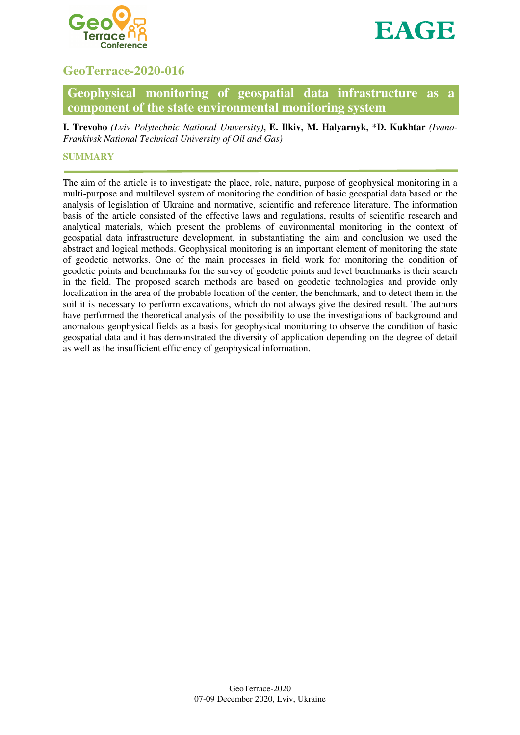



# **GeoTerrace-2020-016**

# **Geophysical monitoring of geospatial data infrastructure as a component of the state environmental monitoring system**

**I. Trevoho** *(Lviv Polytechnic National University)***, E. Ilkiv, M. Halyarnyk,** \***D. Kukhtar** *(Ivano-Frankivsk National Technical University of Oil and Gas)*

## **SUMMARY**

The aim of the article is to investigate the place, role, nature, purpose of geophysical monitoring in a multi-purpose and multilevel system of monitoring the condition of basic geospatial data based on the analysis of legislation of Ukraine and normative, scientific and reference literature. The information basis of the article consisted of the effective laws and regulations, results of scientific research and analytical materials, which present the problems of environmental monitoring in the context of geospatial data infrastructure development, in substantiating the aim and conclusion we used the abstract and logical methods. Geophysical monitoring is an important element of monitoring the state of geodetic networks. One of the main processes in field work for monitoring the condition of geodetic points and benchmarks for the survey of geodetic points and level benchmarks is their search in the field. The proposed search methods are based on geodetic technologies and provide only localization in the area of the probable location of the center, the benchmark, and to detect them in the soil it is necessary to perform excavations, which do not always give the desired result. The authors have performed the theoretical analysis of the possibility to use the investigations of background and anomalous geophysical fields as a basis for geophysical monitoring to observe the condition of basic geospatial data and it has demonstrated the diversity of application depending on the degree of detail as well as the insufficient efficiency of geophysical information.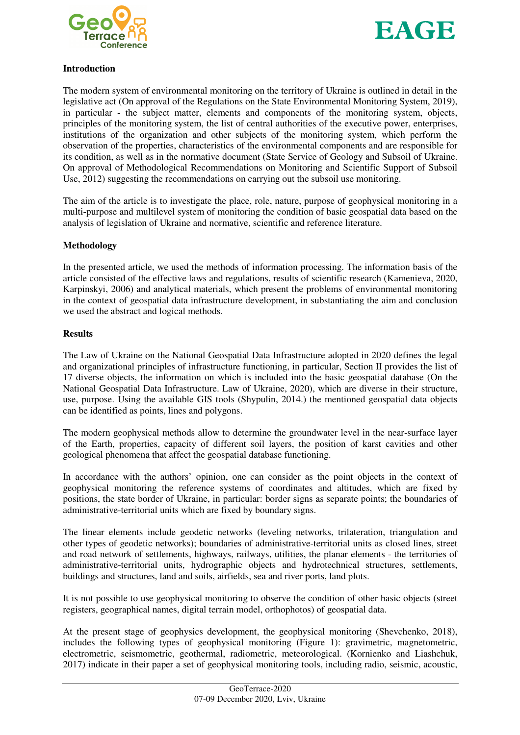



# **Introduction**

The modern system of environmental monitoring on the territory of Ukraine is outlined in detail in the legislative act (On approval of the Regulations on the State Environmental Monitoring System, 2019), in particular - the subject matter, elements and components of the monitoring system, objects, principles of the monitoring system, the list of central authorities of the executive power, enterprises, institutions of the organization and other subjects of the monitoring system, which perform the observation of the properties, characteristics of the environmental components and are responsible for its condition, as well as in the normative document (State Service of Geology and Subsoil of Ukraine. On approval of Methodological Recommendations on Monitoring and Scientific Support of Subsoil Use, 2012) suggesting the recommendations on carrying out the subsoil use monitoring.

The aim of the article is to investigate the place, role, nature, purpose of geophysical monitoring in a multi-purpose and multilevel system of monitoring the condition of basic geospatial data based on the analysis of legislation of Ukraine and normative, scientific and reference literature.

# **Methodology**

In the presented article, we used the methods of information processing. The information basis of the article consisted of the effective laws and regulations, results of scientific research (Kamenieva, 2020, Karpinskyi, 2006) and analytical materials, which present the problems of environmental monitoring in the context of geospatial data infrastructure development, in substantiating the aim and conclusion we used the abstract and logical methods.

#### **Results**

The Law of Ukraine on the National Geospatial Data Infrastructure adopted in 2020 defines the legal and organizational principles of infrastructure functioning, in particular, Section II provides the list of 17 diverse objects, the information on which is included into the basic geospatial database (On the National Geospatial Data Infrastructure. Law of Ukraine, 2020), which are diverse in their structure, use, purpose. Using the available GIS tools (Shypulin, 2014.) the mentioned geospatial data objects can be identified as points, lines and polygons.

The modern geophysical methods allow to determine the groundwater level in the near-surface layer of the Earth, properties, capacity of different soil layers, the position of karst cavities and other geological phenomena that affect the geospatial database functioning.

In accordance with the authors' opinion, one can consider as the point objects in the context of geophysical monitoring the reference systems of coordinates and altitudes, which are fixed by positions, the state border of Ukraine, in particular: border signs as separate points; the boundaries of administrative-territorial units which are fixed by boundary signs.

The linear elements include geodetic networks (leveling networks, trilateration, triangulation and other types of geodetic networks); boundaries of administrative-territorial units as closed lines, street and road network of settlements, highways, railways, utilities, the planar elements - the territories of administrative-territorial units, hydrographic objects and hydrotechnical structures, settlements, buildings and structures, land and soils, airfields, sea and river ports, land plots.

It is not possible to use geophysical monitoring to observe the condition of other basic objects (street registers, geographical names, digital terrain model, orthophotos) of geospatial data.

At the present stage of geophysics development, the geophysical monitoring (Shevchenko, 2018), includes the following types of geophysical monitoring (Figure 1): gravimetric, magnetometric, electrometric, seismometric, geothermal, radiometric, meteorological. (Kornienko and Liashchuk, 2017) indicate in their paper a set of geophysical monitoring tools, including radio, seismic, acoustic,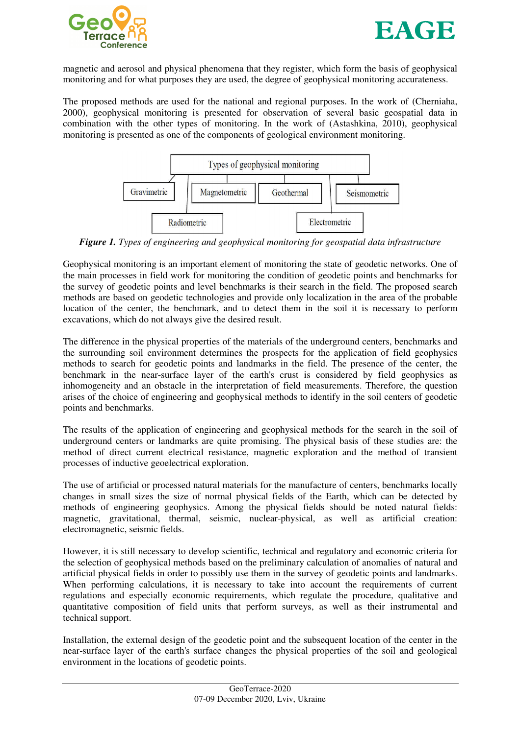



magnetic and aerosol and physical phenomena that they register, which form the basis of geophysical monitoring and for what purposes they are used, the degree of geophysical monitoring accurateness.

The proposed methods are used for the national and regional purposes. In the work of (Cherniaha, 2000), geophysical monitoring is presented for observation of several basic geospatial data in combination with the other types of monitoring. In the work of (Astashkina, 2010), geophysical monitoring is presented as one of the components of geological environment monitoring.



*Figure 1. Types of engineering and geophysical monitoring for geospatial data infrastructure* 

Geophysical monitoring is an important element of monitoring the state of geodetic networks. One of the main processes in field work for monitoring the condition of geodetic points and benchmarks for the survey of geodetic points and level benchmarks is their search in the field. The proposed search methods are based on geodetic technologies and provide only localization in the area of the probable location of the center, the benchmark, and to detect them in the soil it is necessary to perform excavations, which do not always give the desired result.

The difference in the physical properties of the materials of the underground centers, benchmarks and the surrounding soil environment determines the prospects for the application of field geophysics methods to search for geodetic points and landmarks in the field. The presence of the center, the benchmark in the near-surface layer of the earth's crust is considered by field geophysics as inhomogeneity and an obstacle in the interpretation of field measurements. Therefore, the question arises of the choice of engineering and geophysical methods to identify in the soil centers of geodetic points and benchmarks.

The results of the application of engineering and geophysical methods for the search in the soil of underground centers or landmarks are quite promising. The physical basis of these studies are: the method of direct current electrical resistance, magnetic exploration and the method of transient processes of inductive geoelectrical exploration.

The use of artificial or processed natural materials for the manufacture of centers, benchmarks locally changes in small sizes the size of normal physical fields of the Earth, which can be detected by methods of engineering geophysics. Among the physical fields should be noted natural fields: magnetic, gravitational, thermal, seismic, nuclear-physical, as well as artificial creation: electromagnetic, seismic fields.

However, it is still necessary to develop scientific, technical and regulatory and economic criteria for the selection of geophysical methods based on the preliminary calculation of anomalies of natural and artificial physical fields in order to possibly use them in the survey of geodetic points and landmarks. When performing calculations, it is necessary to take into account the requirements of current regulations and especially economic requirements, which regulate the procedure, qualitative and quantitative composition of field units that perform surveys, as well as their instrumental and technical support.

Installation, the external design of the geodetic point and the subsequent location of the center in the near-surface layer of the earth's surface changes the physical properties of the soil and geological environment in the locations of geodetic points.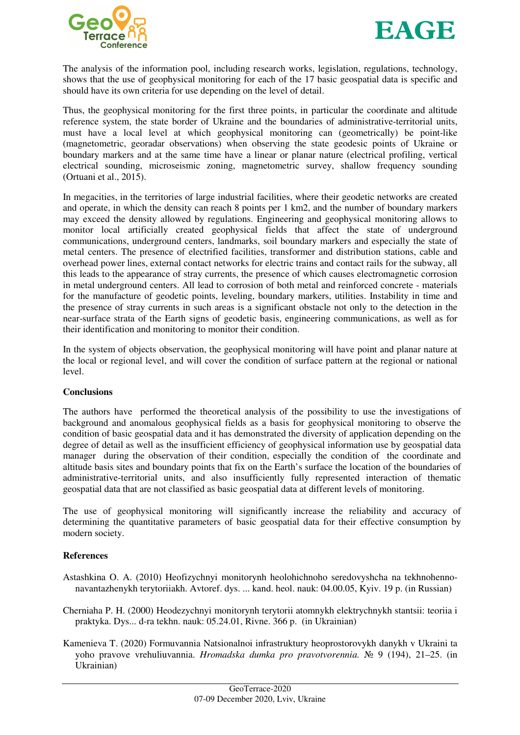



The analysis of the information pool, including research works, legislation, regulations, technology, shows that the use of geophysical monitoring for each of the 17 basic geospatial data is specific and should have its own criteria for use depending on the level of detail.

Thus, the geophysical monitoring for the first three points, in particular the coordinate and altitude reference system, the state border of Ukraine and the boundaries of administrative-territorial units, must have a local level at which geophysical monitoring can (geometrically) be point-like (magnetometric, georadar observations) when observing the state geodesic points of Ukraine or boundary markers and at the same time have a linear or planar nature (electrical profiling, vertical electrical sounding, microseismic zoning, magnetometric survey, shallow frequency sounding (Ortuani et al., 2015).

In megacities, in the territories of large industrial facilities, where their geodetic networks are created and operate, in which the density can reach 8 points per 1 km2, and the number of boundary markers may exceed the density allowed by regulations. Engineering and geophysical monitoring allows to monitor local artificially created geophysical fields that affect the state of underground communications, underground centers, landmarks, soil boundary markers and especially the state of metal centers. The presence of electrified facilities, transformer and distribution stations, cable and overhead power lines, external contact networks for electric trains and contact rails for the subway, all this leads to the appearance of stray currents, the presence of which causes electromagnetic corrosion in metal underground centers. All lead to corrosion of both metal and reinforced concrete - materials for the manufacture of geodetic points, leveling, boundary markers, utilities. Instability in time and the presence of stray currents in such areas is a significant obstacle not only to the detection in the near-surface strata of the Earth signs of geodetic basis, engineering communications, as well as for their identification and monitoring to monitor their condition.

In the system of objects observation, the geophysical monitoring will have point and planar nature at the local or regional level, and will cover the condition of surface pattern at the regional or national level.

#### **Conclusions**

The authors have performed the theoretical analysis of the possibility to use the investigations of background and anomalous geophysical fields as a basis for geophysical monitoring to observe the condition of basic geospatial data and it has demonstrated the diversity of application depending on the degree of detail as well as the insufficient efficiency of geophysical information use by geospatial data manager during the observation of their condition, especially the condition of the coordinate and altitude basis sites and boundary points that fix on the Earth's surface the location of the boundaries of administrative-territorial units, and also insufficiently fully represented interaction of thematic geospatial data that are not classified as basic geospatial data at different levels of monitoring.

The use of geophysical monitoring will significantly increase the reliability and accuracy of determining the quantitative parameters of basic geospatial data for their effective consumption by modern society.

#### **References**

- Astashkina O. A. (2010) Heofizychnyi monitorynh heolohichnoho seredovyshcha na tekhnohennonavantazhenykh terytoriiakh. Avtoref. dys. ... kand. heol. nauk: 04.00.05, Kyiv. 19 p. (in Russian)
- Cherniaha P. H. (2000) Heodezychnyi monitorynh terytorii atomnykh elektrychnykh stantsii: teoriia i praktyka. Dys... d-ra tekhn. nauk: 05.24.01, Rivne. 366 p. (in Ukrainian)
- Kamenieva T. (2020) Formuvannia Natsionalnoi infrastruktury heoprostorovykh danykh v Ukraini ta yoho pravove vrehuliuvannia. *Hromadska dumka pro pravotvorennia.* № 9 (194), 21–25. (in Ukrainian)